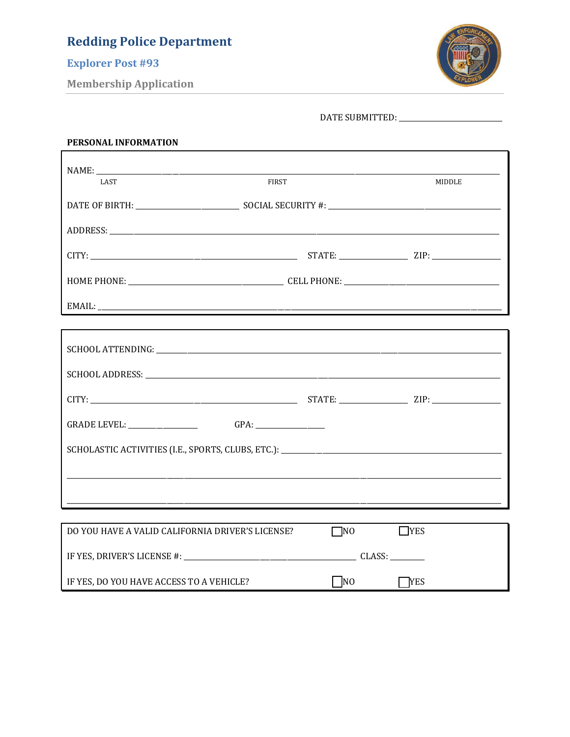## **Explorer Post #93**

**Membership Application** 



| PERSONAL INFORMATION                                    |              |            |
|---------------------------------------------------------|--------------|------------|
| <b>LAST</b>                                             | <b>FIRST</b> | MIDDLE     |
|                                                         |              |            |
|                                                         |              |            |
|                                                         |              |            |
|                                                         |              |            |
|                                                         |              |            |
|                                                         |              |            |
|                                                         |              |            |
|                                                         |              |            |
|                                                         |              |            |
|                                                         |              |            |
|                                                         |              |            |
|                                                         |              |            |
| DO YOU HAVE A VALID CALIFORNIA DRIVER'S LICENSE? □ □ NO |              | $\Box$ YES |
|                                                         |              |            |
| IF YES, DO YOU HAVE ACCESS TO A VEHICLE?                | NO           | <b>YES</b> |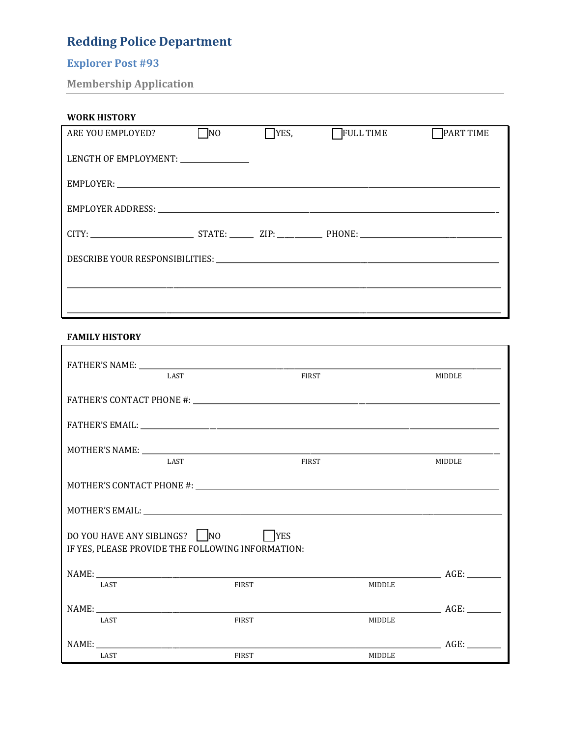# **Explorer Post #93**

**Membership Application** 

| <b>WORK HISTORY</b>                  |              |             |                  |                  |
|--------------------------------------|--------------|-------------|------------------|------------------|
| ARE YOU EMPLOYED?                    | $\square$ NO | $\neg$ YES, | <b>FULL TIME</b> | <b>PART TIME</b> |
| LENGTH OF EMPLOYMENT: ______________ |              |             |                  |                  |
|                                      |              |             |                  |                  |
|                                      |              |             |                  |                  |
|                                      |              |             |                  |                  |
|                                      |              |             |                  |                  |
|                                      |              |             |                  |                  |

#### **FAMILY HISTORY**

| <b>LAST</b>                                                                       |              | <b>FIRST</b> |               | MIDDLE |
|-----------------------------------------------------------------------------------|--------------|--------------|---------------|--------|
|                                                                                   |              |              |               |        |
|                                                                                   |              |              |               |        |
| <b>LAST</b>                                                                       |              | <b>FIRST</b> |               | MIDDLE |
|                                                                                   |              |              |               |        |
|                                                                                   |              |              |               |        |
|                                                                                   |              |              |               |        |
| DO YOU HAVE ANY SIBLINGS? NO<br>IF YES, PLEASE PROVIDE THE FOLLOWING INFORMATION: | YES          |              |               |        |
|                                                                                   |              |              |               |        |
| <b>LAST</b>                                                                       | <b>FIRST</b> |              | <b>MIDDLE</b> |        |
|                                                                                   |              |              |               |        |
| <b>LAST</b>                                                                       | <b>FIRST</b> |              | <b>MIDDLE</b> |        |
|                                                                                   |              |              |               | AGE:   |
| LAST                                                                              | <b>FIRST</b> |              | <b>MIDDLE</b> |        |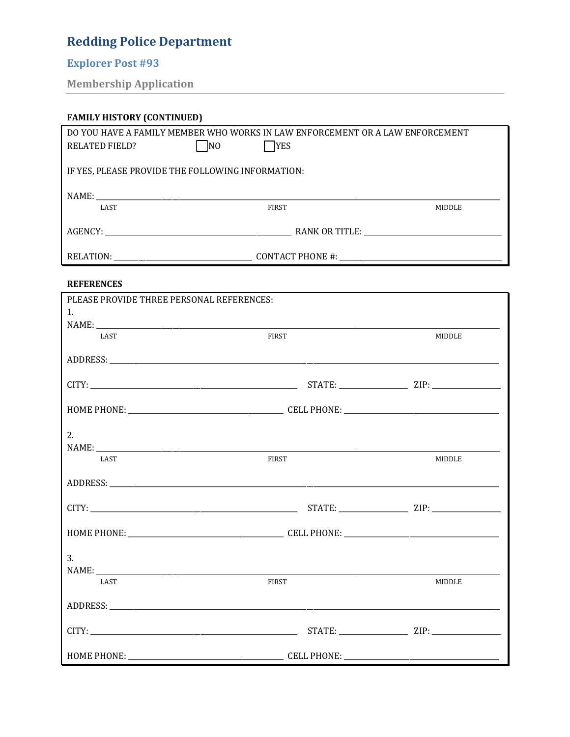# **Explorer Post #93**

**Membership Application** 

| <b>FAMILY HISTORY (CONTINUED)</b>                                             |              |               |  |  |
|-------------------------------------------------------------------------------|--------------|---------------|--|--|
| DO YOU HAVE A FAMILY MEMBER WHO WORKS IN LAW ENFORCEMENT OR A LAW ENFORCEMENT |              |               |  |  |
| $\Box$ NO<br>RELATED FIELD?                                                   | <b>YES</b>   |               |  |  |
| IF YES, PLEASE PROVIDE THE FOLLOWING INFORMATION:                             |              |               |  |  |
|                                                                               |              |               |  |  |
| <b>LAST</b>                                                                   | <b>FIRST</b> | <b>MIDDLE</b> |  |  |
|                                                                               |              |               |  |  |
|                                                                               |              |               |  |  |

#### **REFERENCES**

| PLEASE PROVIDE THREE PERSONAL REFERENCES: |              |        |  |
|-------------------------------------------|--------------|--------|--|
| 1.                                        |              |        |  |
|                                           |              |        |  |
| LAST                                      | <b>FIRST</b> | MIDDLE |  |
|                                           |              |        |  |
|                                           |              |        |  |
|                                           |              |        |  |
|                                           |              |        |  |
|                                           |              |        |  |
|                                           |              |        |  |
|                                           |              |        |  |
| 2.                                        |              |        |  |
|                                           |              |        |  |
| LAST                                      | <b>FIRST</b> | MIDDLE |  |
|                                           |              |        |  |
|                                           |              |        |  |
|                                           |              |        |  |
|                                           |              |        |  |
|                                           |              |        |  |
|                                           |              |        |  |
|                                           |              |        |  |
| 3 <sub>1</sub>                            |              |        |  |
|                                           |              |        |  |
| LAST                                      | <b>FIRST</b> | MIDDLE |  |
|                                           |              |        |  |
|                                           |              |        |  |
|                                           |              |        |  |
|                                           |              |        |  |
|                                           |              |        |  |
|                                           |              |        |  |
|                                           |              |        |  |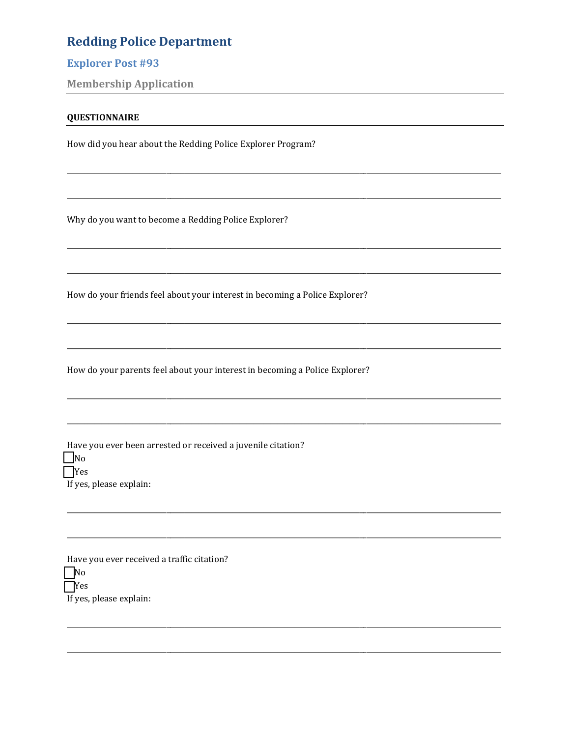### **Explorer Post #93**

**Membership Application** 

#### **QUESTIONNAIRE**

How did you hear about the Redding Police Explorer Program?

Why do you want to become a Redding Police Explorer?

How do your friends feel about your interest in becoming a Police Explorer?

How do your parents feel about your interest in becoming a Police Explorer?

Have you ever been arrested or received a juvenile citation?  $\Box$ No  $\Box$ Yes If yes, please explain:

Have you ever received a traffic citation?  $\Box$ No  $\Box$ Yes If yes, please explain: